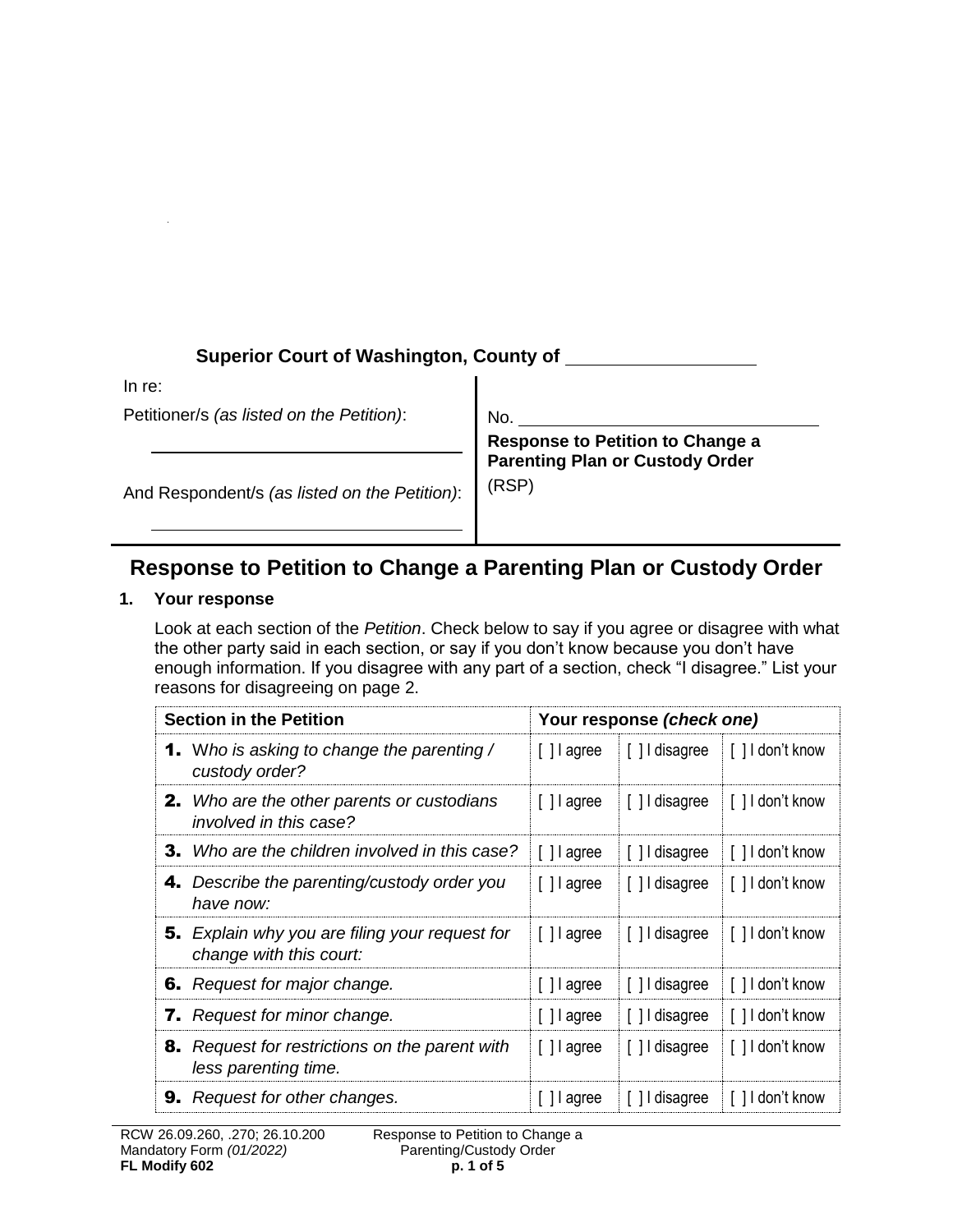## **Superior Court of Washington, County of**

In re:

Petitioner/s *(as listed on the Petition)*:

No.

And Respondent/s *(as listed on the Petition)*:

**Response to Petition to Change a Parenting Plan or Custody Order**  (RSP)

# **Response to Petition to Change a Parenting Plan or Custody Order**

### **1. Your response**

Look at each section of the *Petition*. Check below to say if you agree or disagree with what the other party said in each section, or say if you don't know because you don't have enough information. If you disagree with any part of a section, check "I disagree." List your reasons for disagreeing on page 2.

| <b>Section in the Petition</b><br>Your response (check one)                      |             |                |                  |
|----------------------------------------------------------------------------------|-------------|----------------|------------------|
| <b>1.</b> Who is asking to change the parenting /<br>custody order?              | [] agree    | [ ] I disagree | [ ] I don't know |
| <b>2.</b> Who are the other parents or custodians<br>involved in this case?      | [] agree    | [ ] I disagree | [ ] I don't know |
| <b>3.</b> Who are the children involved in this case?                            | [] agree    | [] I disagree  | [] I don't know  |
| <b>4.</b> Describe the parenting/custody order you<br>have now:                  | [ ] l agree | [] I disagree  | [ ] I don't know |
| <b>5.</b> Explain why you are filing your request for<br>change with this court: | [ ] agree   | [ ] I disagree | [] I don't know  |
| <b>6.</b> Request for major change.                                              | [] agree    | [] I disagree  | [] I don't know  |
| <b>7.</b> Request for minor change.                                              | [] agree    | [] I disagree  | [] I don't know  |
| 8. Request for restrictions on the parent with<br>less parenting time.           | [ ] l agree | [] I disagree  | [] I don't know  |
| <b>9.</b> Request for other changes.                                             | Il agree    | [] I disagree  | [] I don't know  |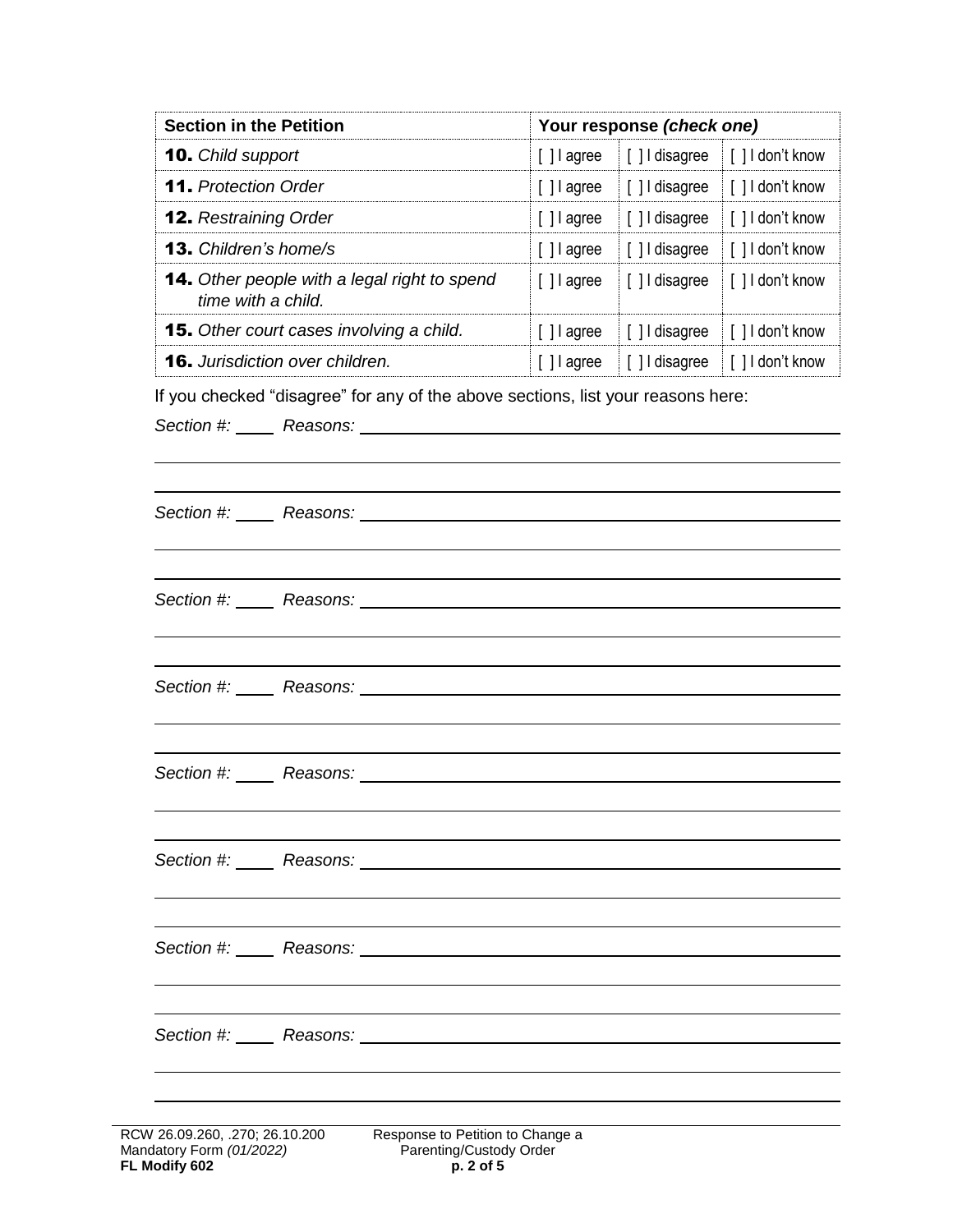| <b>Section in the Petition</b>                                            |             | Your response (check one) |                  |  |
|---------------------------------------------------------------------------|-------------|---------------------------|------------------|--|
| <b>10.</b> Child support                                                  | [ ] l agree | [ ] I disagree            | [] I don't know  |  |
| <b>11.</b> Protection Order                                               | [ ] l agree | [ ] I disagree            | [] I don't know  |  |
| <b>12.</b> Restraining Order                                              | [ ] l agree | [ ] I disagree            | [] I don't know  |  |
| <b>13.</b> Children's home/s                                              | [ ] l agree | [] I disagree             | [ ] I don't know |  |
| <b>14.</b> Other people with a legal right to spend<br>time with a child. | [ ] agree   | [ ] I disagree            | [ ] I don't know |  |
| <b>15.</b> Other court cases involving a child.                           | [ ] l agree | [] I disagree             | [] I don't know  |  |
| <b>16.</b> Jurisdiction over children.                                    | [ ] l agree | [] I disagree             | [ ] I don't know |  |

If you checked "disagree" for any of the above sections, list your reasons here:

*Section #: Reasons:*

|                              | Section #: Reasons: <u>Nextal Section</u> # 2014                                                                                                                                                                                   |
|------------------------------|------------------------------------------------------------------------------------------------------------------------------------------------------------------------------------------------------------------------------------|
|                              |                                                                                                                                                                                                                                    |
|                              |                                                                                                                                                                                                                                    |
|                              | Section #: Reasons: <u>Communications</u> Contains the Contract of the Contract of the Contract of the Contract of the Contract of the Contract of the Contract of the Contract of the Contract of the Contract of the Contract of |
|                              |                                                                                                                                                                                                                                    |
|                              |                                                                                                                                                                                                                                    |
|                              | Section #: Reasons: <u>Communications</u> Contains the Contract of the Contract of the Contract of the Contract of the Contract of the Contract of the Contract of the Contract of the Contract of the Contract of the Contract of |
|                              |                                                                                                                                                                                                                                    |
|                              |                                                                                                                                                                                                                                    |
|                              |                                                                                                                                                                                                                                    |
|                              |                                                                                                                                                                                                                                    |
|                              |                                                                                                                                                                                                                                    |
|                              |                                                                                                                                                                                                                                    |
|                              |                                                                                                                                                                                                                                    |
|                              |                                                                                                                                                                                                                                    |
|                              |                                                                                                                                                                                                                                    |
|                              |                                                                                                                                                                                                                                    |
|                              |                                                                                                                                                                                                                                    |
|                              | Section #: Reasons: Network Changes Assembly Reasons:                                                                                                                                                                              |
|                              |                                                                                                                                                                                                                                    |
|                              |                                                                                                                                                                                                                                    |
|                              |                                                                                                                                                                                                                                    |
| / 26.09.260, .270; 26.10.200 | Response to Petition to Change a                                                                                                                                                                                                   |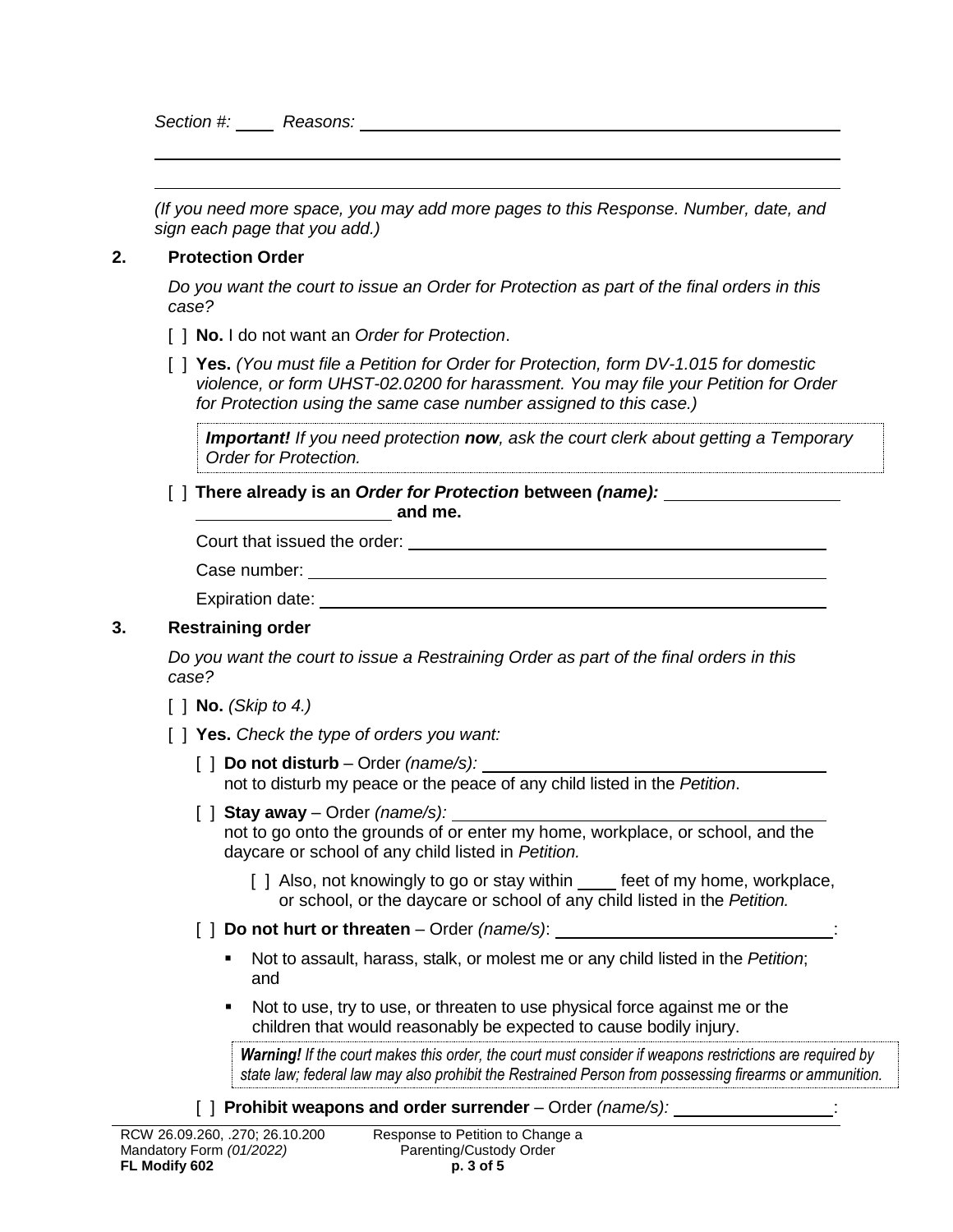*Section #: Reasons:*

*(If you need more space, you may add more pages to this Response. Number, date, and sign each page that you add.)* 

#### **2. Protection Order**

*Do you want the court to issue an Order for Protection as part of the final orders in this case?*

- [ ] **No.** I do not want an *Order for Protection*.
- [ ] **Yes.** *(You must file a Petition for Order for Protection, form DV-1.015 for domestic violence, or form UHST-02.0200 for harassment. You may file your Petition for Order for Protection using the same case number assigned to this case.)*

*Important! If you need protection now, ask the court clerk about getting a Temporary Order for Protection.*

[ ] **There already is an** *Order for Protection* **between** *(name):*  **and me. and me.** 

Court that issued the order:

| Case number: |  |
|--------------|--|
|              |  |

Expiration date:

#### **3. Restraining order**

*Do you want the court to issue a Restraining Order as part of the final orders in this case?* 

[ ] **No.** *(Skip to 4.)* 

[ ] **Yes.** *Check the type of orders you want:*

- [ ] **Do not disturb**  Order *(name/s):* not to disturb my peace or the peace of any child listed in the *Petition*.
- [ ] **Stay away** Order *(name/s):* not to go onto the grounds of or enter my home, workplace, or school, and the daycare or school of any child listed in *Petition.*
	- [ ] Also, not knowingly to go or stay within \_\_\_\_ feet of my home, workplace, or school, or the daycare or school of any child listed in the *Petition.*
- $\lbrack$  **Do not hurt or threaten** Order *(name/s)*:  $\lbrack$ 
	- Not to assault, harass, stalk, or molest me or any child listed in the *Petition*; and
	- Not to use, try to use, or threaten to use physical force against me or the children that would reasonably be expected to cause bodily injury.

*Warning! If the court makes this order, the court must consider if weapons restrictions are required by state law; federal law may also prohibit the Restrained Person from possessing firearms or ammunition.* 

[ ] **Prohibit weapons and order surrender** – Order *(name/s):*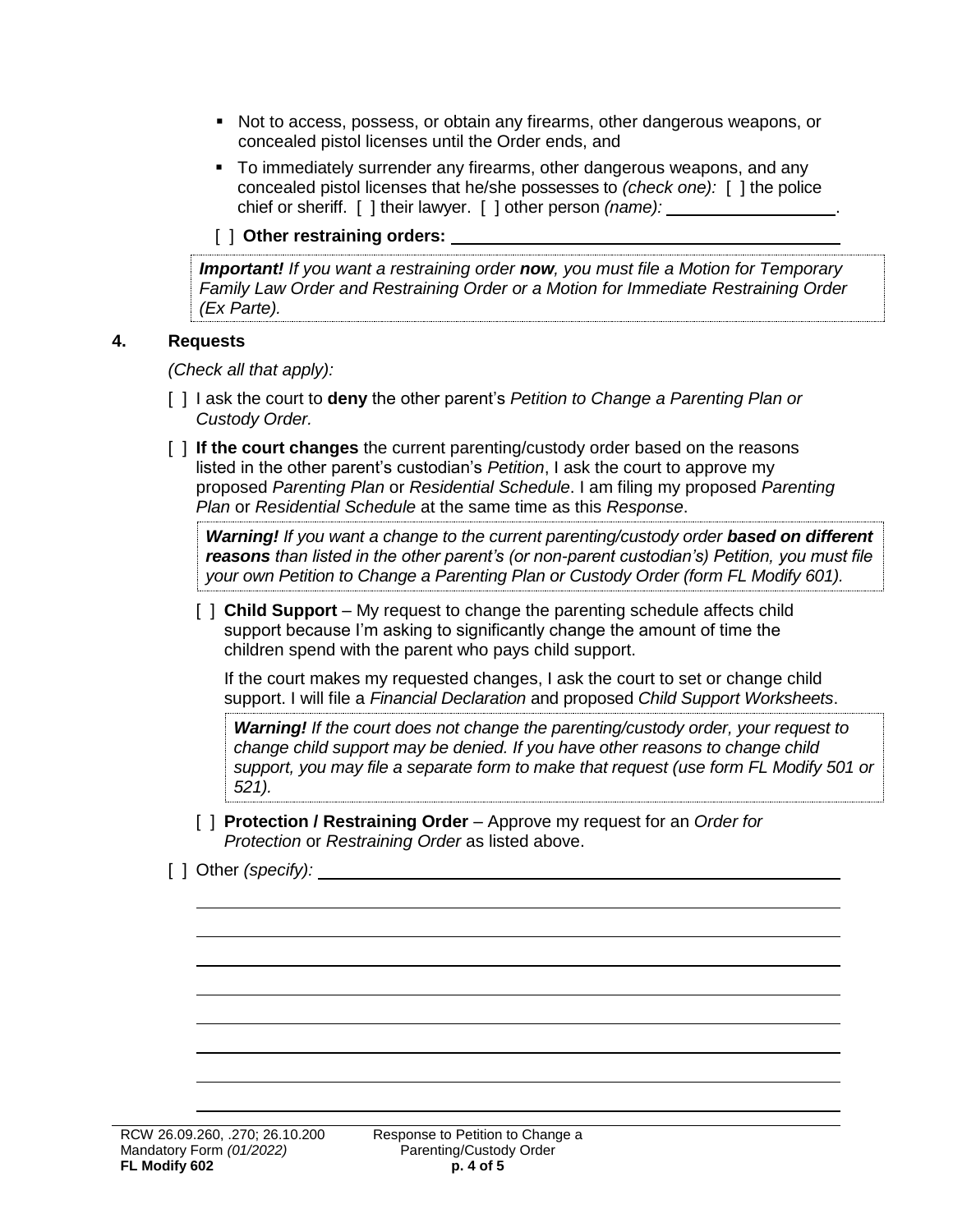- Not to access, possess, or obtain any firearms, other dangerous weapons, or concealed pistol licenses until the Order ends, and
- To immediately surrender any firearms, other dangerous weapons, and any concealed pistol licenses that he/she possesses to *(check one):* [ ] the police chief or sheriff. [ ] their lawyer. [ ] other person *(name):* .

### [ ] **Other restraining orders:**

*Important! If you want a restraining order now, you must file a Motion for Temporary Family Law Order and Restraining Order or a Motion for Immediate Restraining Order (Ex Parte).*

#### **4. Requests**

*(Check all that apply):*

- [ ] I ask the court to **deny** the other parent's *Petition to Change a Parenting Plan or Custody Order.*
- [ ] **If the court changes** the current parenting/custody order based on the reasons listed in the other parent's custodian's *Petition*, I ask the court to approve my proposed *Parenting Plan* or *Residential Schedule*. I am filing my proposed *Parenting Plan* or *Residential Schedule* at the same time as this *Response*.

*Warning!* If you want a change to the current parenting/custody order **based on different** *reasons than listed in the other parent's (or non-parent custodian's) Petition, you must file your own Petition to Change a Parenting Plan or Custody Order (form FL Modify 601).*

[ ] **Child Support** – My request to change the parenting schedule affects child support because I'm asking to significantly change the amount of time the children spend with the parent who pays child support.

If the court makes my requested changes, I ask the court to set or change child support. I will file a *Financial Declaration* and proposed *Child Support Worksheets*.

*Warning! If the court does not change the parenting/custody order, your request to change child support may be denied. If you have other reasons to change child support, you may file a separate form to make that request (use form FL Modify 501 or 521).* 

[ ] **Protection / Restraining Order** – Approve my request for an *Order for Protection* or *Restraining Order* as listed above.

#### [ ] Other *(specify):*